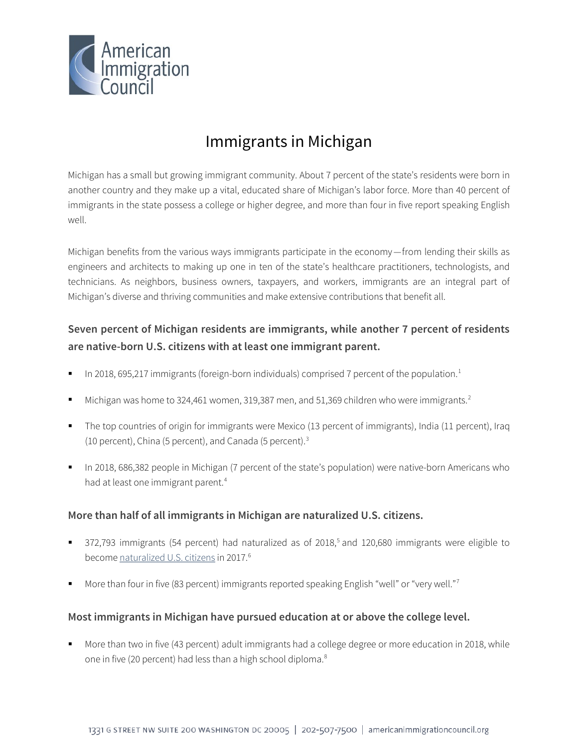

# Immigrants in Michigan

Michigan has a small but growing immigrant community. About 7 percent of the state's residents were born in another country and they make up a vital, educated share of Michigan's labor force. More than 40 percent of immigrants in the state possess a college or higher degree, and more than four in five report speaking English well.

Michigan benefits from the various ways immigrants participate in the economy—from lending their skills as engineers and architects to making up one in ten of the state's healthcare practitioners, technologists, and technicians. As neighbors, business owners, taxpayers, and workers, immigrants are an integral part of Michigan's diverse and thriving communities and make extensive contributions that benefit all.

# **Seven percent of Michigan residents are immigrants, while another 7 percent of residents are native-born U.S. citizens with at least one immigrant parent.**

- In 20[1](#page-4-0)8, 695,217 immigrants (foreign-born individuals) comprised 7 percent of the population.<sup>1</sup>
- Michigan was home to 3[2](#page-4-1)4,461 women, 319,387 men, and 51,369 children who were immigrants.<sup>2</sup>
- The top countries of origin for immigrants were Mexico (13 percent of immigrants), India (11 percent), Iraq (10 percent), China (5 percent), and Canada (5 percent).<sup>[3](#page-4-2)</sup>
- In 2018, 686,382 people in Michigan (7 percent of the state's population) were native-born Americans who had at least one immigrant parent.<sup>4</sup>

### **More than half of all immigrants in Michigan are naturalized U.S. citizens.**

- 372,793 immigrants ([5](#page-4-4)4 percent) had naturalized as of 2018,<sup>5</sup> and 120,680 immigrants were eligible to become [naturalized U.S. citizens](http://data.cmsny.org/state.html) in 2017.<sup>[6](#page-4-5)</sup>
- More than four in five (83 percent) immigrants reported speaking English "well" or "very well."<sup>[7](#page-4-6)</sup>

### **Most immigrants in Michigan have pursued education at or above the college level.**

 More than two in five (43 percent) adult immigrants had a college degree or more education in 2018, while one in five (20 percent) had less than a high school diploma.<sup>[8](#page-4-7)</sup>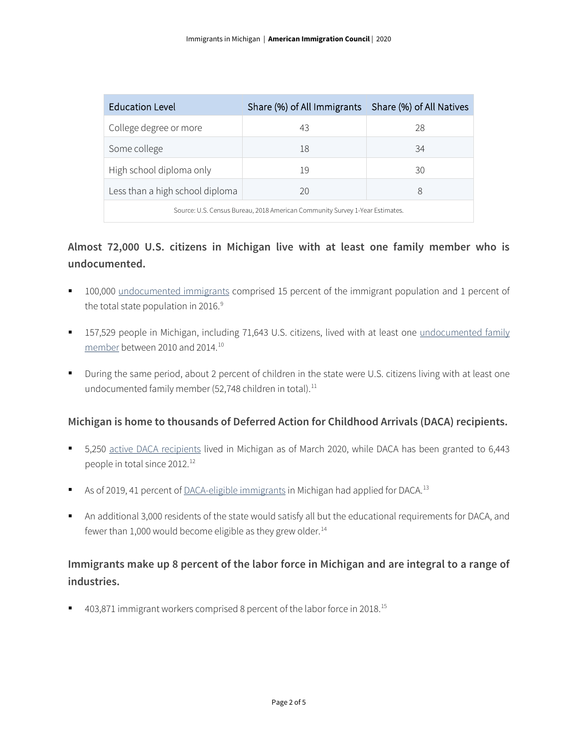| <b>Education Level</b>                                                       | Share (%) of All Immigrants   Share (%) of All Natives |    |  |  |
|------------------------------------------------------------------------------|--------------------------------------------------------|----|--|--|
| College degree or more                                                       | 43                                                     | 28 |  |  |
| Some college                                                                 | 18                                                     | 34 |  |  |
| High school diploma only                                                     | 19                                                     | 30 |  |  |
| Less than a high school diploma                                              | 20                                                     | 8  |  |  |
| Source: U.S. Census Bureau, 2018 American Community Survey 1-Year Estimates. |                                                        |    |  |  |

# **Almost 72,000 U.S. citizens in Michigan live with at least one family member who is undocumented.**

- 100,000 [undocumented immigrants](http://www.pewhispanic.org/interactives/unauthorized-immigrants/) comprised 15 percent of the immigrant population and 1 percent of the total state population in 2016. $9$
- 157,529 people in Michigan, including 71,643 U.S. citizens, lived with at least one undocumented family [member](https://www.americanprogress.org/issues/immigration/news/2017/03/16/427868/state-state-estimates-family-members-unauthorized-immigrants/) between 2010 and 2014.[10](#page-4-9)
- During the same period, about 2 percent of children in the state were U.S. citizens living with at least one undocumented family member (52,748 children in total).<sup>[11](#page-4-10)</sup>

### **Michigan is home to thousands of Deferred Action for Childhood Arrivals (DACA) recipients.**

- 5,250 [active DACA recipients](https://www.uscis.gov/sites/default/files/document/data/Approximate%20Active%20DACA%20Receipts%20-%20March%2031%2C%202020.pdf) lived in Michigan as of March 2020, while DACA has been granted to 6,443 people in total since 20[12](#page-4-11).<sup>12</sup>
- As of 2019, 41 percent o[f DACA-eligible immigrants](http://www.migrationpolicy.org/programs/data-hub/deferred-action-childhood-arrivals-daca-profiles) in Michigan had applied for DACA.<sup>[13](#page-4-12)</sup>
- An additional 3,000 residents of the state would satisfy all but the educational requirements for DACA, and fewer than 1,000 would become eligible as they grew older. $14$

# **Immigrants make up 8 percent of the labor force in Michigan and are integral to a range of industries.**

■ 403,871 immigrant workers comprised 8 percent of the labor force in 2018.<sup>[15](#page-4-14)</sup>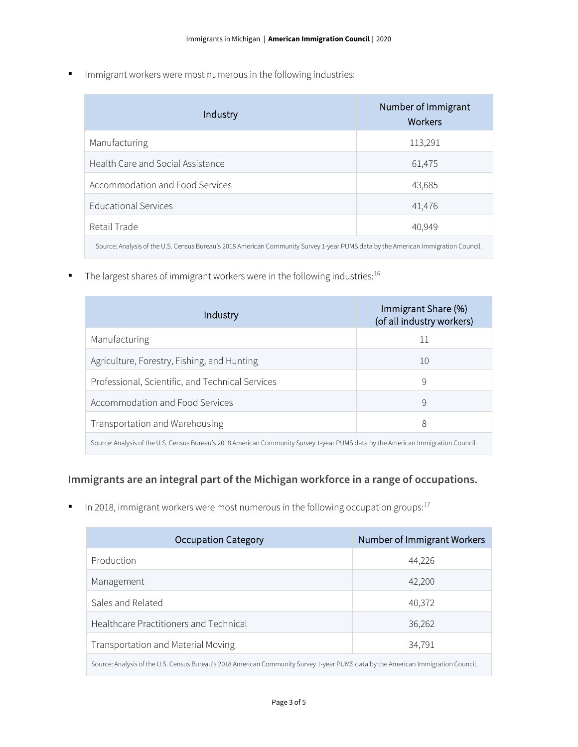**IMMI** Immigrant workers were most numerous in the following industries:

| Industry                                                                                                                          | Number of Immigrant<br>Workers |  |
|-----------------------------------------------------------------------------------------------------------------------------------|--------------------------------|--|
| Manufacturing                                                                                                                     | 113,291                        |  |
| Health Care and Social Assistance                                                                                                 | 61,475                         |  |
| Accommodation and Food Services                                                                                                   | 43,685                         |  |
| <b>Educational Services</b>                                                                                                       | 41,476                         |  |
| Retail Trade                                                                                                                      | 40,949                         |  |
| Source: Analysis of the U.S. Census Bureau's 2018 American Community Survey 1-year PUMS data by the American Immigration Council. |                                |  |

The largest shares of immigrant workers were in the following industries: $16$ 

| Industry                                                                                                                          | Immigrant Share (%)<br>(of all industry workers) |  |
|-----------------------------------------------------------------------------------------------------------------------------------|--------------------------------------------------|--|
| Manufacturing                                                                                                                     | 11                                               |  |
| Agriculture, Forestry, Fishing, and Hunting                                                                                       | 10                                               |  |
| Professional, Scientific, and Technical Services                                                                                  | 9                                                |  |
| Accommodation and Food Services                                                                                                   | 9                                                |  |
| Transportation and Warehousing                                                                                                    | 8                                                |  |
| Source: Analysis of the U.S. Census Bureau's 2018 American Community Survey 1-year PUMS data by the American Immigration Council. |                                                  |  |

# **Immigrants are an integral part of the Michigan workforce in a range of occupations.**

In 2018, immigrant workers were most numerous in the following occupation groups: $17$ 

| <b>Occupation Category</b>                                                                                                        | Number of Immigrant Workers |  |
|-----------------------------------------------------------------------------------------------------------------------------------|-----------------------------|--|
| Production                                                                                                                        | 44,226                      |  |
| Management                                                                                                                        | 42,200                      |  |
| Sales and Related                                                                                                                 | 40,372                      |  |
| Healthcare Practitioners and Technical                                                                                            | 36,262                      |  |
| Transportation and Material Moving                                                                                                | 34,791                      |  |
| Source: Analysis of the U.S. Census Bureau's 2018 American Community Survey 1-year PUMS data by the American Immigration Council. |                             |  |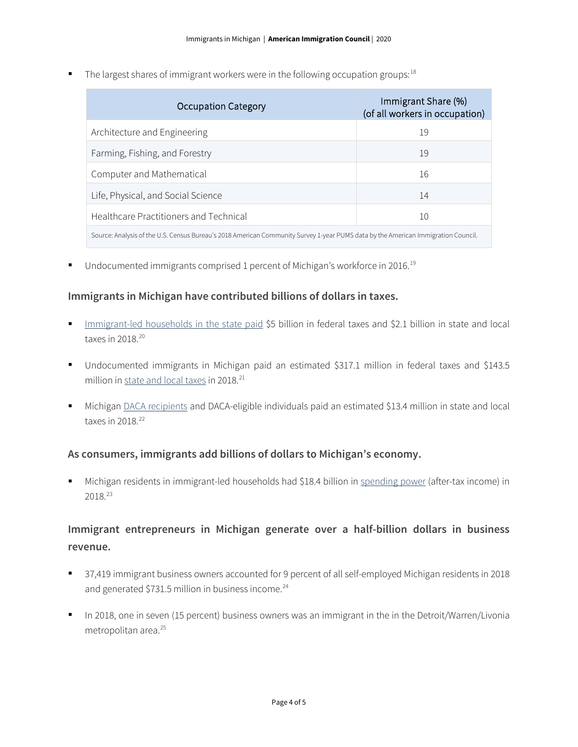The largest shares of immigrant workers were in the following occupation groups:  $18$ 

| Occupation Category                                                                                                               | Immigrant Share (%)<br>(of all workers in occupation) |  |
|-----------------------------------------------------------------------------------------------------------------------------------|-------------------------------------------------------|--|
| Architecture and Engineering                                                                                                      | 19                                                    |  |
| Farming, Fishing, and Forestry                                                                                                    | 19                                                    |  |
| Computer and Mathematical                                                                                                         | 16                                                    |  |
| Life, Physical, and Social Science                                                                                                | 14                                                    |  |
| Healthcare Practitioners and Technical                                                                                            | 10                                                    |  |
| Source: Analysis of the U.S. Census Bureau's 2018 American Community Survey 1-year PUMS data by the American Immigration Council. |                                                       |  |

■ Undocumented immigrants comprised 1 percent of Michigan's workforce in 2016.<sup>[19](#page-4-18)</sup>

#### **Immigrants in Michigan have contributed billions of dollars in taxes.**

- [Immigrant-led households in the state paid](https://www.newamericaneconomy.org/locations/) \$5 billion in federal taxes and \$2.1 billion in state and local taxes in [20](#page-4-19)18.<sup>20</sup>
- Undocumented immigrants in Michigan paid an estimated \$317.1 million in federal taxes and \$143.5 million i[n state and local taxes](https://www.newamericaneconomy.org/locations/) in 2018.<sup>[21](#page-4-20)</sup>
- Michigan [DACA recipients](https://itep.org/state-local-tax-contributions-of-young-undocumented-immigrants/) and DACA-eligible individuals paid an estimated \$13.4 million in state and local taxes in  $2018.<sup>22</sup>$  $2018.<sup>22</sup>$  $2018.<sup>22</sup>$

#### **As consumers, immigrants add billions of dollars to Michigan's economy.**

 Michigan residents in immigrant-led households had \$18.4 billion in [spending power](https://www.newamericaneconomy.org/locations/) (after-tax income) in 2018.[23](#page-4-22)

# **Immigrant entrepreneurs in Michigan generate over a half-billion dollars in business revenue.**

- 37,419 immigrant business owners accounted for 9 percent of all self-employed Michigan residents in 2018 and generated \$731.5 million in business income. $^{24}$  $^{24}$  $^{24}$
- In 2018, one in seven (15 percent) business owners was an immigrant in the in the Detroit/Warren/Livonia metropolitan area. [25](#page-4-24)